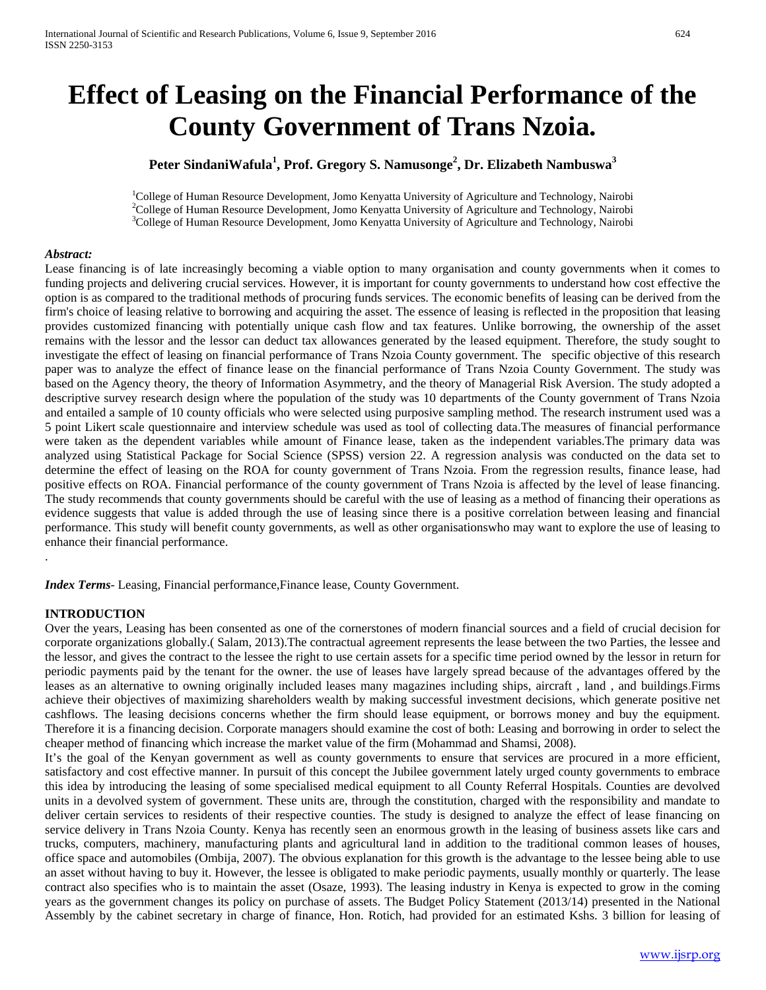# **Effect of Leasing on the Financial Performance of the County Government of Trans Nzoia.**

# **Peter SindaniWafula<sup>1</sup> , Prof. Gregory S. Namusonge2 , Dr. Elizabeth Nambuswa<sup>3</sup>**

<sup>1</sup>College of Human Resource Development, Jomo Kenyatta University of Agriculture and Technology, Nairobi <sup>2</sup>College of Human Resource Development, Jomo Kenyatta University of Agriculture and Technology, Nairobi  $^{2}$ College of Human Resource Development, Jomo Kenyatta University of Agriculture and Technology, Nairobi <sup>3</sup>College of Human Resource Development, Jomo Kenyatta University of Agriculture and Technology, Nairobi

#### *Abstract:*

Lease financing is of late increasingly becoming a viable option to many organisation and county governments when it comes to funding projects and delivering crucial services. However, it is important for county governments to understand how cost effective the option is as compared to the traditional methods of procuring funds services. The economic benefits of leasing can be derived from the firm's choice of leasing relative to borrowing and acquiring the asset. The essence of leasing is reflected in the proposition that leasing provides customized financing with potentially unique cash flow and tax features. Unlike borrowing, the ownership of the asset remains with the lessor and the lessor can deduct tax allowances generated by the leased equipment. Therefore, the study sought to investigate the effect of leasing on financial performance of Trans Nzoia County government. The specific objective of this research paper was to analyze the effect of finance lease on the financial performance of Trans Nzoia County Government. The study was based on the Agency theory, the theory of Information Asymmetry, and the theory of Managerial Risk Aversion. The study adopted a descriptive survey research design where the population of the study was 10 departments of the County government of Trans Nzoia and entailed a sample of 10 county officials who were selected using purposive sampling method. The research instrument used was a 5 point Likert scale questionnaire and interview schedule was used as tool of collecting data.The measures of financial performance were taken as the dependent variables while amount of Finance lease, taken as the independent variables.The primary data was analyzed using Statistical Package for Social Science (SPSS) version 22. A regression analysis was conducted on the data set to determine the effect of leasing on the ROA for county government of Trans Nzoia. From the regression results, finance lease, had positive effects on ROA. Financial performance of the county government of Trans Nzoia is affected by the level of lease financing. The study recommends that county governments should be careful with the use of leasing as a method of financing their operations as evidence suggests that value is added through the use of leasing since there is a positive correlation between leasing and financial performance. This study will benefit county governments, as well as other organisationswho may want to explore the use of leasing to enhance their financial performance.

*Index Terms*- Leasing, Financial performance,Finance lease, County Government.

#### **INTRODUCTION**

.

Over the years, Leasing has been consented as one of the cornerstones of modern financial sources and a field of crucial decision for corporate organizations globally.( Salam, 2013).The contractual agreement represents the lease between the two Parties, the lessee and the lessor, and gives the contract to the lessee the right to use certain assets for a specific time period owned by the lessor in return for periodic payments paid by the tenant for the owner. the use of leases have largely spread because of the advantages offered by the leases as an alternative to owning originally included leases many magazines including ships, aircraft , land , and buildings.Firms achieve their objectives of maximizing shareholders wealth by making successful investment decisions, which generate positive net cashflows. The leasing decisions concerns whether the firm should lease equipment, or borrows money and buy the equipment. Therefore it is a financing decision. Corporate managers should examine the cost of both: Leasing and borrowing in order to select the cheaper method of financing which increase the market value of the firm (Mohammad and Shamsi, 2008).

It's the goal of the Kenyan government as well as county governments to ensure that services are procured in a more efficient, satisfactory and cost effective manner. In pursuit of this concept the Jubilee government lately urged county governments to embrace this idea by introducing the leasing of some specialised medical equipment to all County Referral Hospitals. Counties are devolved units in a devolved system of government. These units are, through the constitution, charged with the responsibility and mandate to deliver certain services to residents of their respective counties. The study is designed to analyze the effect of lease financing on service delivery in Trans Nzoia County. Kenya has recently seen an enormous growth in the leasing of business assets like cars and trucks, computers, machinery, manufacturing plants and agricultural land in addition to the traditional common leases of houses, office space and automobiles (Ombija, 2007). The obvious explanation for this growth is the advantage to the lessee being able to use an asset without having to buy it. However, the lessee is obligated to make periodic payments, usually monthly or quarterly. The lease contract also specifies who is to maintain the asset (Osaze, 1993). The leasing industry in Kenya is expected to grow in the coming years as the government changes its policy on purchase of assets. The Budget Policy Statement (2013/14) presented in the National Assembly by the cabinet secretary in charge of finance, Hon. Rotich, had provided for an estimated Kshs. 3 billion for leasing of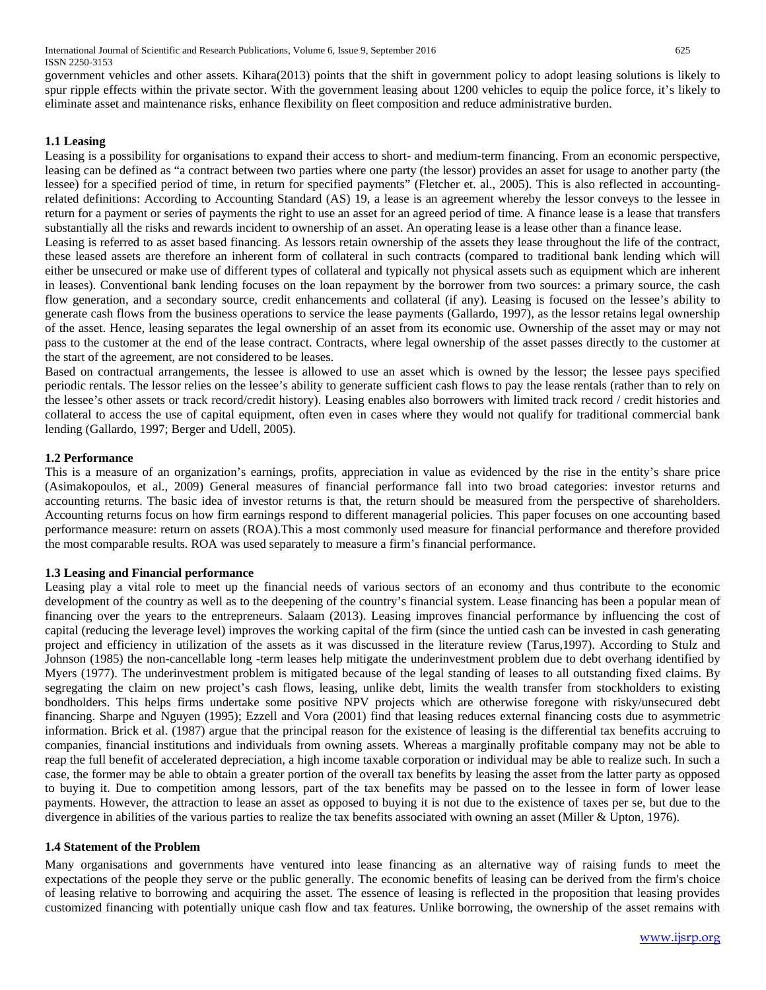government vehicles and other assets. Kihara(2013) points that the shift in government policy to adopt leasing solutions is likely to spur ripple effects within the private sector. With the government leasing about 1200 vehicles to equip the police force, it's likely to eliminate asset and maintenance risks, enhance flexibility on fleet composition and reduce administrative burden.

# **1.1 Leasing**

Leasing is a possibility for organisations to expand their access to short- and medium-term financing. From an economic perspective, leasing can be defined as "a contract between two parties where one party (the lessor) provides an asset for usage to another party (the lessee) for a specified period of time, in return for specified payments" (Fletcher et. al., 2005). This is also reflected in accountingrelated definitions: According to Accounting Standard (AS) 19, a lease is an agreement whereby the lessor conveys to the lessee in return for a payment or series of payments the right to use an asset for an agreed period of time. A finance lease is a lease that transfers substantially all the risks and rewards incident to ownership of an asset. An operating lease is a lease other than a finance lease.

Leasing is referred to as asset based financing. As lessors retain ownership of the assets they lease throughout the life of the contract, these leased assets are therefore an inherent form of collateral in such contracts (compared to traditional bank lending which will either be unsecured or make use of different types of collateral and typically not physical assets such as equipment which are inherent in leases). Conventional bank lending focuses on the loan repayment by the borrower from two sources: a primary source, the cash flow generation, and a secondary source, credit enhancements and collateral (if any). Leasing is focused on the lessee's ability to generate cash flows from the business operations to service the lease payments (Gallardo, 1997), as the lessor retains legal ownership of the asset. Hence, leasing separates the legal ownership of an asset from its economic use. Ownership of the asset may or may not pass to the customer at the end of the lease contract. Contracts, where legal ownership of the asset passes directly to the customer at the start of the agreement, are not considered to be leases.

Based on contractual arrangements, the lessee is allowed to use an asset which is owned by the lessor; the lessee pays specified periodic rentals. The lessor relies on the lessee's ability to generate sufficient cash flows to pay the lease rentals (rather than to rely on the lessee's other assets or track record/credit history). Leasing enables also borrowers with limited track record / credit histories and collateral to access the use of capital equipment, often even in cases where they would not qualify for traditional commercial bank lending (Gallardo, 1997; Berger and Udell, 2005).

## **1.2 Performance**

This is a measure of an organization's earnings, profits, appreciation in value as evidenced by the rise in the entity's share price (Asimakopoulos, et al., 2009) General measures of financial performance fall into two broad categories: investor returns and accounting returns. The basic idea of investor returns is that, the return should be measured from the perspective of shareholders. Accounting returns focus on how firm earnings respond to different managerial policies. This paper focuses on one accounting based performance measure: return on assets (ROA).This a most commonly used measure for financial performance and therefore provided the most comparable results. ROA was used separately to measure a firm's financial performance.

#### **1.3 Leasing and Financial performance**

Leasing play a vital role to meet up the financial needs of various sectors of an economy and thus contribute to the economic development of the country as well as to the deepening of the country's financial system. Lease financing has been a popular mean of financing over the years to the entrepreneurs. Salaam (2013). Leasing improves financial performance by influencing the cost of capital (reducing the leverage level) improves the working capital of the firm (since the untied cash can be invested in cash generating project and efficiency in utilization of the assets as it was discussed in the literature review (Tarus,1997). According to Stulz and Johnson (1985) the non-cancellable long -term leases help mitigate the underinvestment problem due to debt overhang identified by Myers (1977). The underinvestment problem is mitigated because of the legal standing of leases to all outstanding fixed claims. By segregating the claim on new project's cash flows, leasing, unlike debt, limits the wealth transfer from stockholders to existing bondholders. This helps firms undertake some positive NPV projects which are otherwise foregone with risky/unsecured debt financing. Sharpe and Nguyen (1995); Ezzell and Vora (2001) find that leasing reduces external financing costs due to asymmetric information. Brick et al. (1987) argue that the principal reason for the existence of leasing is the differential tax benefits accruing to companies, financial institutions and individuals from owning assets. Whereas a marginally profitable company may not be able to reap the full benefit of accelerated depreciation, a high income taxable corporation or individual may be able to realize such. In such a case, the former may be able to obtain a greater portion of the overall tax benefits by leasing the asset from the latter party as opposed to buying it. Due to competition among lessors, part of the tax benefits may be passed on to the lessee in form of lower lease payments. However, the attraction to lease an asset as opposed to buying it is not due to the existence of taxes per se, but due to the divergence in abilities of the various parties to realize the tax benefits associated with owning an asset (Miller & Upton, 1976).

#### **1.4 Statement of the Problem**

Many organisations and governments have ventured into lease financing as an alternative way of raising funds to meet the expectations of the people they serve or the public generally. The economic benefits of leasing can be derived from the firm's choice of leasing relative to borrowing and acquiring the asset. The essence of leasing is reflected in the proposition that leasing provides customized financing with potentially unique cash flow and tax features. Unlike borrowing, the ownership of the asset remains with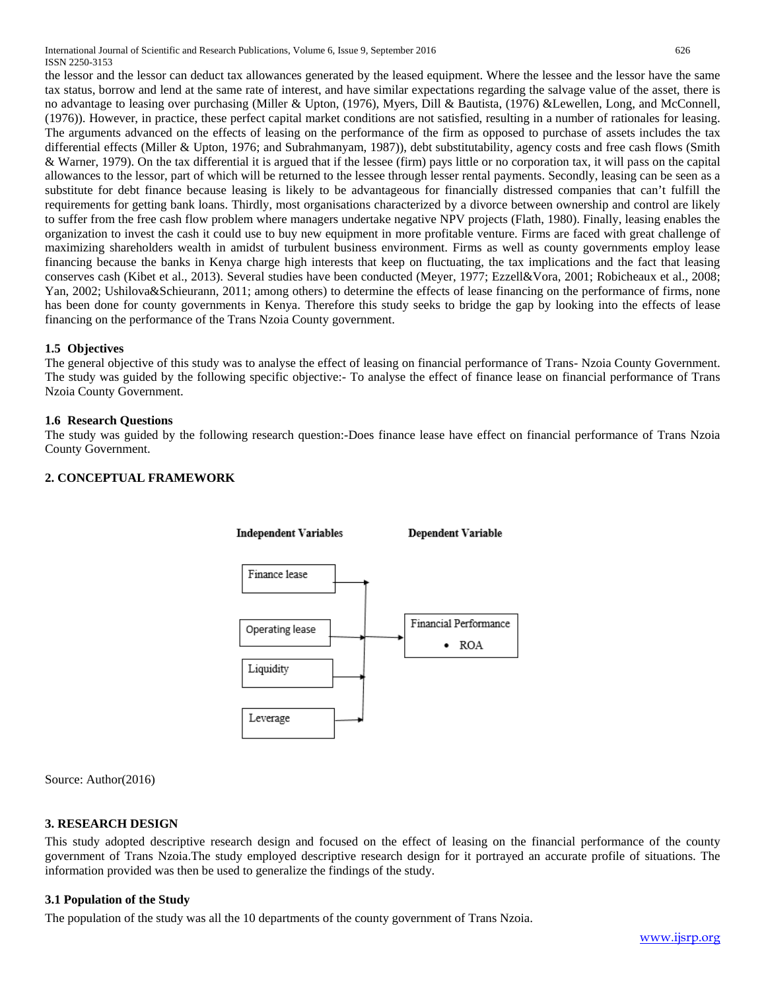International Journal of Scientific and Research Publications, Volume 6, Issue 9, September 2016 626 ISSN 2250-3153

the lessor and the lessor can deduct tax allowances generated by the leased equipment. Where the lessee and the lessor have the same tax status, borrow and lend at the same rate of interest, and have similar expectations regarding the salvage value of the asset, there is no advantage to leasing over purchasing (Miller & Upton, (1976), Myers, Dill & Bautista, (1976) &Lewellen, Long, and McConnell, (1976)). However, in practice, these perfect capital market conditions are not satisfied, resulting in a number of rationales for leasing. The arguments advanced on the effects of leasing on the performance of the firm as opposed to purchase of assets includes the tax differential effects (Miller & Upton, 1976; and Subrahmanyam, 1987)), debt substitutability, agency costs and free cash flows (Smith & Warner, 1979). On the tax differential it is argued that if the lessee (firm) pays little or no corporation tax, it will pass on the capital allowances to the lessor, part of which will be returned to the lessee through lesser rental payments. Secondly, leasing can be seen as a substitute for debt finance because leasing is likely to be advantageous for financially distressed companies that can't fulfill the requirements for getting bank loans. Thirdly, most organisations characterized by a divorce between ownership and control are likely to suffer from the free cash flow problem where managers undertake negative NPV projects (Flath, 1980). Finally, leasing enables the organization to invest the cash it could use to buy new equipment in more profitable venture. Firms are faced with great challenge of maximizing shareholders wealth in amidst of turbulent business environment. Firms as well as county governments employ lease financing because the banks in Kenya charge high interests that keep on fluctuating, the tax implications and the fact that leasing conserves cash (Kibet et al., 2013). Several studies have been conducted (Meyer, 1977; Ezzell&Vora, 2001; Robicheaux et al., 2008; Yan, 2002; Ushilova&Schieurann, 2011; among others) to determine the effects of lease financing on the performance of firms, none has been done for county governments in Kenya. Therefore this study seeks to bridge the gap by looking into the effects of lease financing on the performance of the Trans Nzoia County government.

# **1.5 Objectives**

The general objective of this study was to analyse the effect of leasing on financial performance of Trans- Nzoia County Government. The study was guided by the following specific objective:- To analyse the effect of finance lease on financial performance of Trans Nzoia County Government.

# **1.6 Research Questions**

The study was guided by the following research question:-Does finance lease have effect on financial performance of Trans Nzoia County Government.

# **2. CONCEPTUAL FRAMEWORK**



Source: Author(2016)

# **3. RESEARCH DESIGN**

This study adopted descriptive research design and focused on the effect of leasing on the financial performance of the county government of Trans Nzoia.The study employed descriptive research design for it portrayed an accurate profile of situations. The information provided was then be used to generalize the findings of the study.

#### **3.1 Population of the Study**

The population of the study was all the 10 departments of the county government of Trans Nzoia.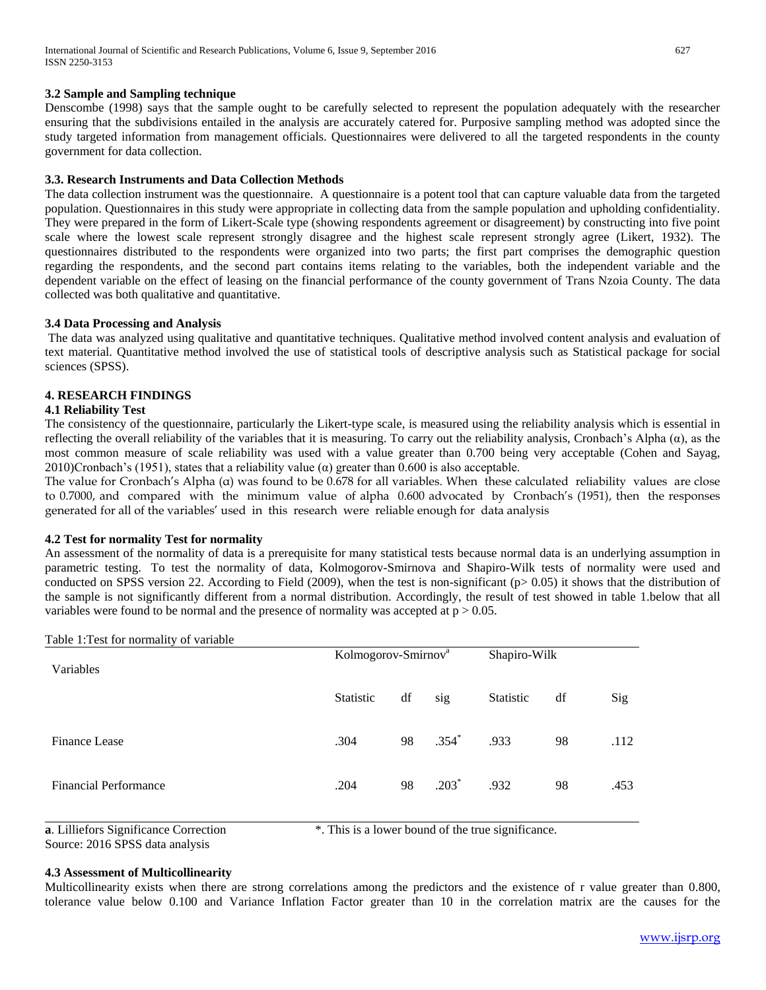## **3.2 Sample and Sampling technique**

Denscombe (1998) says that the sample ought to be carefully selected to represent the population adequately with the researcher ensuring that the subdivisions entailed in the analysis are accurately catered for. Purposive sampling method was adopted since the study targeted information from management officials. Questionnaires were delivered to all the targeted respondents in the county government for data collection.

# **3.3. Research Instruments and Data Collection Methods**

The data collection instrument was the questionnaire. A questionnaire is a potent tool that can capture valuable data from the targeted population. Questionnaires in this study were appropriate in collecting data from the sample population and upholding confidentiality. They were prepared in the form of Likert-Scale type (showing respondents agreement or disagreement) by constructing into five point scale where the lowest scale represent strongly disagree and the highest scale represent strongly agree (Likert, 1932). The questionnaires distributed to the respondents were organized into two parts; the first part comprises the demographic question regarding the respondents, and the second part contains items relating to the variables, both the independent variable and the dependent variable on the effect of leasing on the financial performance of the county government of Trans Nzoia County. The data collected was both qualitative and quantitative.

#### **3.4 Data Processing and Analysis**

The data was analyzed using qualitative and quantitative techniques. Qualitative method involved content analysis and evaluation of text material. Quantitative method involved the use of statistical tools of descriptive analysis such as Statistical package for social sciences (SPSS).

## **4. RESEARCH FINDINGS**

#### **4.1 Reliability Test**

The consistency of the questionnaire, particularly the Likert-type scale, is measured using the reliability analysis which is essential in reflecting the overall reliability of the variables that it is measuring. To carry out the reliability analysis, Cronbach's Alpha (α), as the most common measure of scale reliability was used with a value greater than 0.700 being very acceptable (Cohen and Sayag, 2010)Cronbach's (1951), states that a reliability value ( $\alpha$ ) greater than 0.600 is also acceptable.

The value for Cronbach's Alpha (α) was found to be 0.678 for all variables. When these calculated reliability values are close to 0.7000, and compared with the minimum value of alpha 0.600 advocated by Cronbach's (1951), then the responses generated for all of the variables' used in this research were reliable enough for data analysis

# **4.2 Test for normality Test for normality**

An assessment of the normality of data is a prerequisite for many statistical tests because normal data is an underlying assumption in parametric testing. To test the normality of data, Kolmogorov-Smirnova and Shapiro-Wilk tests of normality were used and conducted on SPSS version 22. According to Field (2009), when the test is non-significant ( $p$  > 0.05) it shows that the distribution of the sample is not significantly different from a normal distribution. Accordingly, the result of test showed in table 1.below that all variables were found to be normal and the presence of normality was accepted at  $p > 0.05$ .

| Table 1: Test for normality of variable |                                 |    |                     |              |    |      |
|-----------------------------------------|---------------------------------|----|---------------------|--------------|----|------|
| Variables                               | Kolmogorov-Smirnov <sup>a</sup> |    |                     | Shapiro-Wilk |    |      |
|                                         | Statistic                       | df | sig                 | Statistic    | df | Sig  |
| <b>Finance Lease</b>                    | .304                            | 98 | $.354$ <sup>*</sup> | .933         | 98 | .112 |
| <b>Financial Performance</b>            | .204                            | 98 | $.203*$             | .932         | 98 | .453 |
|                                         |                                 |    |                     |              |    |      |

**a**. Lilliefors Significance Correction \*. This is a lower bound of the true significance.

Source: 2016 SPSS data analysis

# **4.3 Assessment of Multicollinearity**

Multicollinearity exists when there are strong correlations among the predictors and the existence of r value greater than 0.800, tolerance value below 0.100 and Variance Inflation Factor greater than 10 in the correlation matrix are the causes for the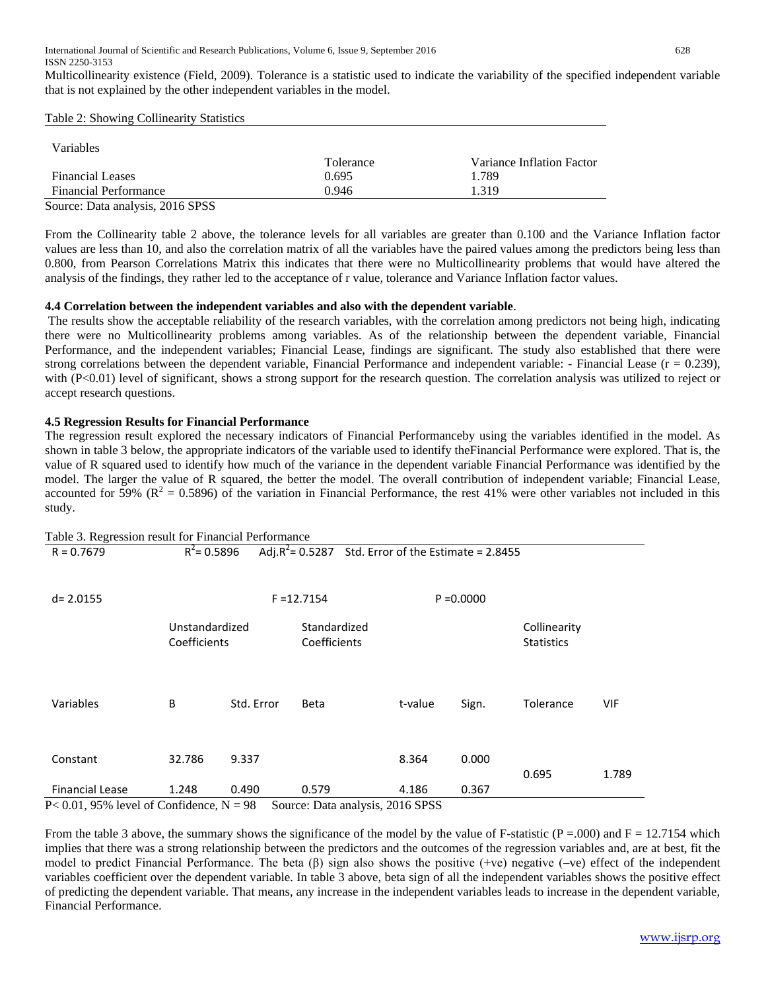Multicollinearity existence (Field, 2009). Tolerance is a statistic used to indicate the variability of the specified independent variable that is not explained by the other independent variables in the model.

Table 2: Showing Collinearity Statistics

| <b>Variables</b>             |           |                           |
|------------------------------|-----------|---------------------------|
|                              | Tolerance | Variance Inflation Factor |
| <b>Financial Leases</b>      | 0.695     | 1.789                     |
| <b>Financial Performance</b> | 0.946     | 1.319                     |

Source: Data analysis, 2016 SPSS

From the Collinearity table 2 above, the tolerance levels for all variables are greater than 0.100 and the Variance Inflation factor values are less than 10, and also the correlation matrix of all the variables have the paired values among the predictors being less than 0.800, from Pearson Correlations Matrix this indicates that there were no Multicollinearity problems that would have altered the analysis of the findings, they rather led to the acceptance of r value, tolerance and Variance Inflation factor values.

# **4.4 Correlation between the independent variables and also with the dependent variable**.

The results show the acceptable reliability of the research variables, with the correlation among predictors not being high, indicating there were no Multicollinearity problems among variables. As of the relationship between the dependent variable, Financial Performance, and the independent variables; Financial Lease, findings are significant. The study also established that there were strong correlations between the dependent variable, Financial Performance and independent variable: - Financial Lease ( $r = 0.239$ ), with (P<0.01) level of significant, shows a strong support for the research question. The correlation analysis was utilized to reject or accept research questions.

# **4.5 Regression Results for Financial Performance**

The regression result explored the necessary indicators of Financial Performanceby using the variables identified in the model. As shown in table 3 below, the appropriate indicators of the variable used to identify theFinancial Performance were explored. That is, the value of R squared used to identify how much of the variance in the dependent variable Financial Performance was identified by the model. The larger the value of R squared, the better the model. The overall contribution of independent variable; Financial Lease, accounted for 59% ( $\mathbb{R}^2 = 0.5896$ ) of the variation in Financial Performance, the rest 41% were other variables not included in this study.

| Table 3. Regression result for Financial Performance |                |                                    |                                                         |              |       |                   |       |
|------------------------------------------------------|----------------|------------------------------------|---------------------------------------------------------|--------------|-------|-------------------|-------|
| $R = 0.7679$                                         | $R^2$ = 0.5896 |                                    | Adj. $R^2$ = 0.5287 Std. Error of the Estimate = 2.8455 |              |       |                   |       |
| $d = 2.0155$                                         |                |                                    | $F = 12.7154$                                           | $P = 0.0000$ |       |                   |       |
|                                                      | Unstandardized |                                    | Standardized                                            |              |       | Collinearity      |       |
|                                                      | Coefficients   |                                    | Coefficients                                            |              |       | <b>Statistics</b> |       |
| Variables                                            | В              | Std. Error                         | <b>Beta</b>                                             | t-value      | Sign. | Tolerance         | VIF   |
| Constant                                             | 32.786         | 9.337                              |                                                         | 8.364        | 0.000 | 0.695             | 1.789 |
| <b>Financial Lease</b>                               | 1.248          | 0.490                              | 0.579                                                   | 4.186        | 0.367 |                   |       |
| <b>D 0.01.050/1</b><br>$\sim$ $\sim$                 | $\sim$ 1       | $\sim$<br>$\mathbf{r}$<br>$\Omega$ | $\cdot$ $\cdot$<br>$\mathbf{r}$ .                       | 2017000      |       |                   |       |

 $P< 0.01$ , 95% level of Confidence,  $N = 98$  Source: Data analysis, 2016 SPSS

From the table 3 above, the summary shows the significance of the model by the value of F-statistic (P = 000) and  $F = 12.7154$  which implies that there was a strong relationship between the predictors and the outcomes of the regression variables and, are at best, fit the model to predict Financial Performance. The beta (β) sign also shows the positive (+ve) negative (-ve) effect of the independent variables coefficient over the dependent variable. In table 3 above, beta sign of all the independent variables shows the positive effect of predicting the dependent variable. That means, any increase in the independent variables leads to increase in the dependent variable, Financial Performance.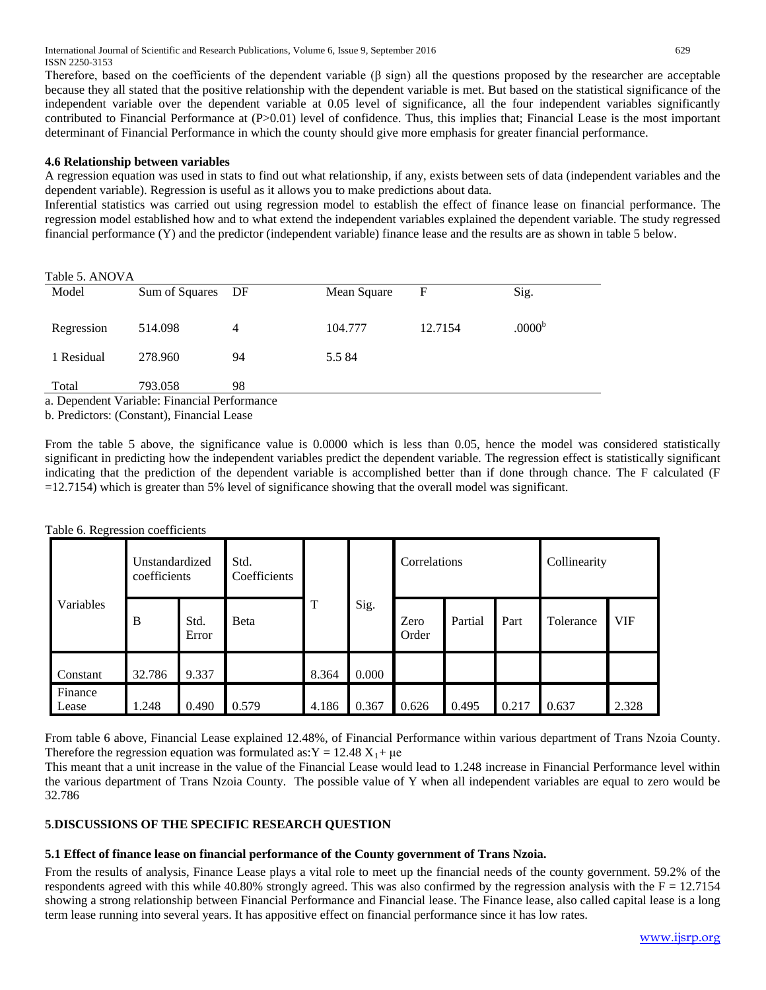International Journal of Scientific and Research Publications, Volume 6, Issue 9, September 2016 629 ISSN 2250-3153

Therefore, based on the coefficients of the dependent variable (β sign) all the questions proposed by the researcher are acceptable because they all stated that the positive relationship with the dependent variable is met. But based on the statistical significance of the independent variable over the dependent variable at 0.05 level of significance, all the four independent variables significantly contributed to Financial Performance at (P>0.01) level of confidence. Thus, this implies that; Financial Lease is the most important determinant of Financial Performance in which the county should give more emphasis for greater financial performance.

#### **4.6 Relationship between variables**

A regression equation was used in stats to find out what relationship, if any, exists between sets of data (independent variables and the dependent variable). Regression is useful as it allows you to make predictions about data.

Inferential statistics was carried out using regression model to establish the effect of finance lease on financial performance. The regression model established how and to what extend the independent variables explained the dependent variable. The study regressed financial performance (Y) and the predictor (independent variable) finance lease and the results are as shown in table 5 below.

| Table 5. ANOVA |                                                 |    |             |             |                    |  |  |  |  |
|----------------|-------------------------------------------------|----|-------------|-------------|--------------------|--|--|--|--|
| Model          | Sum of Squares                                  | DF | Mean Square | $\mathbf F$ | Sig.               |  |  |  |  |
|                |                                                 |    |             |             |                    |  |  |  |  |
| Regression     | 514.098                                         | 4  | 104.777     | 12.7154     | .0000 <sup>b</sup> |  |  |  |  |
|                |                                                 |    |             |             |                    |  |  |  |  |
| 1 Residual     | 278.960                                         | 94 | 5.584       |             |                    |  |  |  |  |
|                |                                                 |    |             |             |                    |  |  |  |  |
| Total          | 793.058                                         | 98 |             |             |                    |  |  |  |  |
|                | . Den en deut Venichter Fin en siel Deußenmanne |    |             |             |                    |  |  |  |  |

a. Dependent Variable: Financial Performance

b. Predictors: (Constant), Financial Lease

From the table 5 above, the significance value is 0.0000 which is less than 0.05, hence the model was considered statistically significant in predicting how the independent variables predict the dependent variable. The regression effect is statistically significant indicating that the prediction of the dependent variable is accomplished better than if done through chance. The F calculated (F =12.7154) which is greater than 5% level of significance showing that the overall model was significant.

Table 6. Regression coefficients

|                  | Unstandardized<br>coefficients |               | Std.<br>Coefficients |       |       | Correlations  |         |       | Collinearity |            |
|------------------|--------------------------------|---------------|----------------------|-------|-------|---------------|---------|-------|--------------|------------|
| Variables        | B                              | Std.<br>Error | Beta                 | T     | Sig.  | Zero<br>Order | Partial | Part  | Tolerance    | <b>VIF</b> |
| Constant         | 32.786                         | 9.337         |                      | 8.364 | 0.000 |               |         |       |              |            |
| Finance<br>Lease | 1.248                          | 0.490         | 0.579                | 4.186 | 0.367 | 0.626         | 0.495   | 0.217 | 0.637        | 2.328      |

From table 6 above, Financial Lease explained 12.48%, of Financial Performance within various department of Trans Nzoia County. Therefore the regression equation was formulated as:  $Y = 12.48 X_1 + \mu e$ 

This meant that a unit increase in the value of the Financial Lease would lead to 1.248 increase in Financial Performance level within the various department of Trans Nzoia County. The possible value of Y when all independent variables are equal to zero would be 32.786

# **5**.**DISCUSSIONS OF THE SPECIFIC RESEARCH QUESTION**

#### **5.1 Effect of finance lease on financial performance of the County government of Trans Nzoia.**

From the results of analysis, Finance Lease plays a vital role to meet up the financial needs of the county government. 59.2% of the respondents agreed with this while 40.80% strongly agreed. This was also confirmed by the regression analysis with the  $F = 12.7154$ showing a strong relationship between Financial Performance and Financial lease. The Finance lease, also called capital lease is a long term lease running into several years. It has appositive effect on financial performance since it has low rates.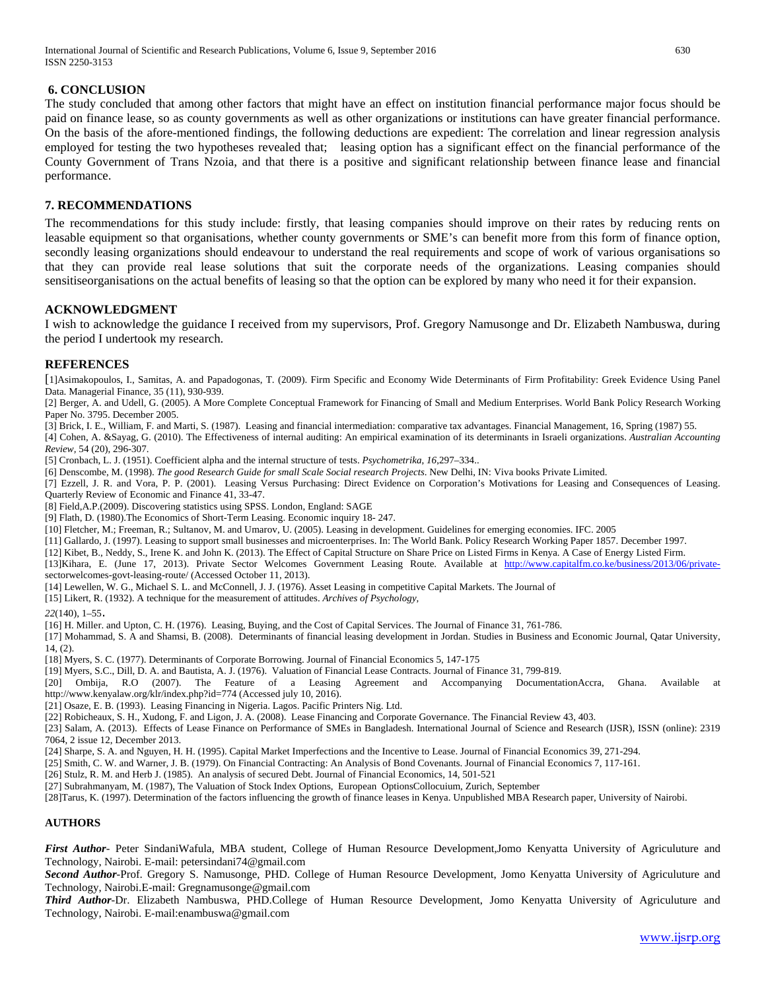International Journal of Scientific and Research Publications, Volume 6, Issue 9, September 2016 630 ISSN 2250-3153

## **6. CONCLUSION**

The study concluded that among other factors that might have an effect on institution financial performance major focus should be paid on finance lease, so as county governments as well as other organizations or institutions can have greater financial performance. On the basis of the afore-mentioned findings, the following deductions are expedient: The correlation and linear regression analysis employed for testing the two hypotheses revealed that; leasing option has a significant effect on the financial performance of the County Government of Trans Nzoia, and that there is a positive and significant relationship between finance lease and financial performance.

## **7. RECOMMENDATIONS**

The recommendations for this study include: firstly, that leasing companies should improve on their rates by reducing rents on leasable equipment so that organisations, whether county governments or SME's can benefit more from this form of finance option, secondly leasing organizations should endeavour to understand the real requirements and scope of work of various organisations so that they can provide real lease solutions that suit the corporate needs of the organizations. Leasing companies should sensitiseorganisations on the actual benefits of leasing so that the option can be explored by many who need it for their expansion.

#### **ACKNOWLEDGMENT**

I wish to acknowledge the guidance I received from my supervisors, Prof. Gregory Namusonge and Dr. Elizabeth Nambuswa, during the period I undertook my research.

#### **REFERENCES**

[1]Asimakopoulos, I., Samitas, A. and Papadogonas, T. (2009). Firm Specific and Economy Wide Determinants of Firm Profitability: Greek Evidence Using Panel Data. Managerial Finance, 35 (11), 930-939.

[2] Berger, A. and Udell, G. (2005). A More Complete Conceptual Framework for Financing of Small and Medium Enterprises. World Bank Policy Research Working Paper No. 3795. December 2005.

[3] Brick, I. E., William, F. and Marti, S. (1987). Leasing and financial intermediation: comparative tax advantages. Financial Management, 16, Spring (1987) 55.

[4] Cohen, A. &Sayag, G. (2010). The Effectiveness of internal auditing: An empirical examination of its determinants in Israeli organizations. *Australian Accounting Review,* 54 (20), 296-307.

[5] Cronbach, L. J. (1951). Coefficient alpha and the internal structure of tests. *Psychometrika*, *16*,297–334..

[6] Denscombe, M. (1998). *The good Research Guide for small Scale Social research Projects*. New Delhi, IN: Viva books Private Limited.

[7] Ezzell, J. R. and Vora, P. P. (2001). Leasing Versus Purchasing: Direct Evidence on Corporation's Motivations for Leasing and Consequences of Leasing. Quarterly Review of Economic and Finance 41, 33-47.

[8] Field,A.P.(2009). Discovering statistics using SPSS. London, England: SAGE

[9] Flath, D. (1980).The Economics of Short-Term Leasing. Economic inquiry 18- 247.

[10] Fletcher, M.; Freeman, R.; Sultanov, M. and Umarov, U. (2005). Leasing in development. Guidelines for emerging economies. IFC. 2005

[11] Gallardo, J. (1997). Leasing to support small businesses and microenterprises. In: The World Bank. Policy Research Working Paper 1857. December 1997.

[12] Kibet, B., Neddy, S., Irene K. and John K. (2013). The Effect of Capital Structure on Share Price on Listed Firms in Kenya. A Case of Energy Listed Firm.

[13]Kihara, E. (June 17, 2013). Private Sector Welcomes Government Leasing Route. Available at [http://www.capitalfm.co.ke/business/2013/06/private](http://www.capitalfm.co.ke/business/2013/06/private-)[s](http://www.capitalfm.co.ke/business/2013/06/private-)ectorwelcomes-govt-leasing-route/ (Accessed October 11, 2013).

[14] Lewellen, W. G., Michael S. L. and McConnell, J. J. (1976). Asset Leasing in competitive Capital Markets. The Journal of

[15] Likert, R. (1932). A technique for the measurement of attitudes. *Archives of Psychology,*

*22*(140), 1–55.

[16] H. Miller. and Upton, C. H. (1976). Leasing, Buying, and the Cost of Capital Services. The Journal of Finance 31, 761-786.

[17] Mohammad, S. A and Shamsi, B. (2008). Determinants of financial leasing development in Jordan. Studies in Business and Economic Journal, Qatar University, 14, (2).

[18] Myers, S. C. (1977). Determinants of Corporate Borrowing. Journal of Financial Economics 5, 147-175

[19] Myers, S.C., Dill, D. A. and Bautista, A. J. (1976). Valuation of Financial Lease Contracts. Journal of Finance 31, 799-819.

[20] Ombija, R.O (2007). The Feature of a Leasing Agreement and Accompanying DocumentationAccra, Ghana. Available at http://www.kenyalaw.org/klr/index.php?id=774 (Accessed july 10, 2016).

[21] Osaze, E. B. (1993). Leasing Financing in Nigeria. Lagos. Pacific Printers Nig. Ltd.

[22] Robicheaux, S. H., Xudong, F. and Ligon, J. A. (2008). Lease Financing and Corporate Governance. The Financial Review 43, 403.

[23] Salam, A. (2013). Effects of Lease Finance on Performance of SMEs in Bangladesh. International Journal of Science and Research (IJSR), ISSN (online): 2319 7064, 2 issue 12, December 2013.

[24] Sharpe, S. A. and Nguyen, H. H. (1995). Capital Market Imperfections and the Incentive to Lease. Journal of Financial Economics 39, 271-294.

[25] Smith, C. W. and Warner, J. B. (1979). On Financial Contracting: An Analysis of Bond Covenants. Journal of Financial Economics 7, 117-161.

[26] Stulz, R. M. and Herb J. (1985). An analysis of secured Debt. Journal of Financial Economics, 14, 501-521

[27] Subrahmanyam, M. (1987), The Valuation of Stock Index Options, European OptionsCollocuium, Zurich, September

[28]Tarus, K. (1997). Determination of the factors influencing the growth of finance leases in Kenya. Unpublished MBA Research paper, University of Nairobi.

#### **AUTHORS**

*First Author*- Peter SindaniWafula, MBA student, College of Human Resource Development,Jomo Kenyatta University of Agriculuture and Technology, Nairobi. E-mail: petersindani74@gmail.com

*Second Author*-Prof. Gregory S. Namusonge, PHD. College of Human Resource Development, Jomo Kenyatta University of Agriculuture and Technology, Nairobi.E-mail: Gregnamusonge@gmail.com

*Third Author*-Dr. Elizabeth Nambuswa, PHD.College of Human Resource Development, Jomo Kenyatta University of Agriculuture and Technology, Nairobi. E-mail:enambuswa@gmail.com